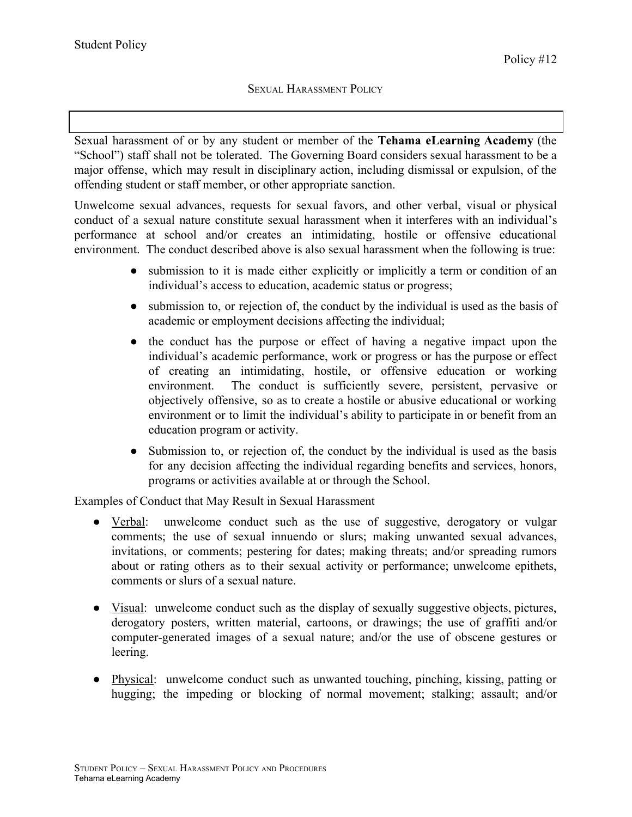Sexual harassment of or by any student or member of the **Tehama eLearning Academy** (the "School") staff shall not be tolerated. The Governing Board considers sexual harassment to be a major offense, which may result in disciplinary action, including dismissal or expulsion, of the offending student or staff member, or other appropriate sanction.

Unwelcome sexual advances, requests for sexual favors, and other verbal, visual or physical conduct of a sexual nature constitute sexual harassment when it interferes with an individual's performance at school and/or creates an intimidating, hostile or offensive educational environment. The conduct described above is also sexual harassment when the following is true:

- submission to it is made either explicitly or implicitly a term or condition of an individual's access to education, academic status or progress;
- submission to, or rejection of, the conduct by the individual is used as the basis of academic or employment decisions affecting the individual;
- the conduct has the purpose or effect of having a negative impact upon the individual's academic performance, work or progress or has the purpose or effect of creating an intimidating, hostile, or offensive education or working environment. The conduct is sufficiently severe, persistent, pervasive or objectively offensive, so as to create a hostile or abusive educational or working environment or to limit the individual's ability to participate in or benefit from an education program or activity.
- Submission to, or rejection of, the conduct by the individual is used as the basis for any decision affecting the individual regarding benefits and services, honors, programs or activities available at or through the School.

Examples of Conduct that May Result in Sexual Harassment

- Verbal: unwelcome conduct such as the use of suggestive, derogatory or vulgar comments; the use of sexual innuendo or slurs; making unwanted sexual advances, invitations, or comments; pestering for dates; making threats; and/or spreading rumors about or rating others as to their sexual activity or performance; unwelcome epithets, comments or slurs of a sexual nature.
- Visual: unwelcome conduct such as the display of sexually suggestive objects, pictures, derogatory posters, written material, cartoons, or drawings; the use of graffiti and/or computer-generated images of a sexual nature; and/or the use of obscene gestures or leering.
- Physical: unwelcome conduct such as unwanted touching, pinching, kissing, patting or hugging; the impeding or blocking of normal movement; stalking; assault; and/or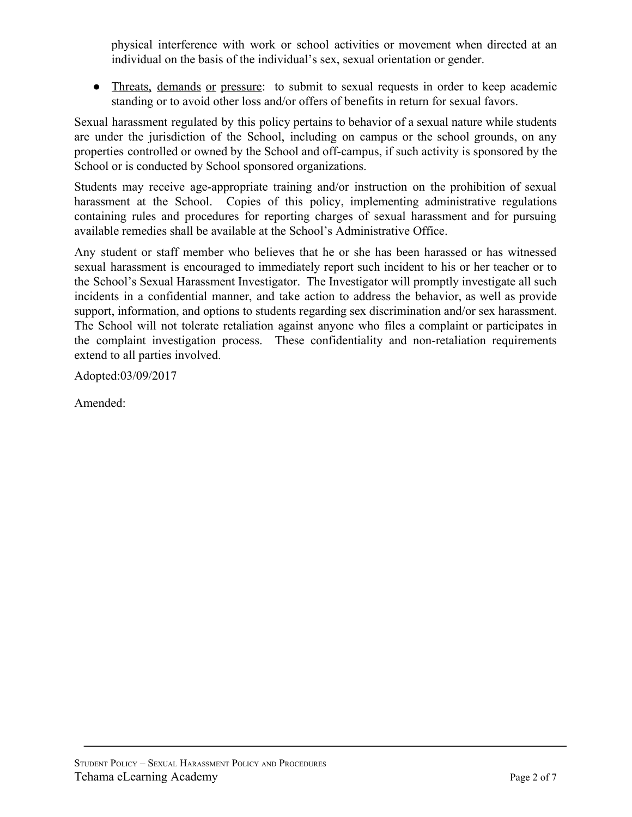physical interference with work or school activities or movement when directed at an individual on the basis of the individual's sex, sexual orientation or gender.

• Threats, demands or pressure: to submit to sexual requests in order to keep academic standing or to avoid other loss and/or offers of benefits in return for sexual favors.

Sexual harassment regulated by this policy pertains to behavior of a sexual nature while students are under the jurisdiction of the School, including on campus or the school grounds, on any properties controlled or owned by the School and off-campus, if such activity is sponsored by the School or is conducted by School sponsored organizations.

Students may receive age-appropriate training and/or instruction on the prohibition of sexual harassment at the School. Copies of this policy, implementing administrative regulations containing rules and procedures for reporting charges of sexual harassment and for pursuing available remedies shall be available at the School's Administrative Office.

Any student or staff member who believes that he or she has been harassed or has witnessed sexual harassment is encouraged to immediately report such incident to his or her teacher or to the School's Sexual Harassment Investigator. The Investigator will promptly investigate all such incidents in a confidential manner, and take action to address the behavior, as well as provide support, information, and options to students regarding sex discrimination and/or sex harassment. The School will not tolerate retaliation against anyone who files a complaint or participates in the complaint investigation process. These confidentiality and non-retaliation requirements extend to all parties involved.

Adopted:03/09/2017

Amended: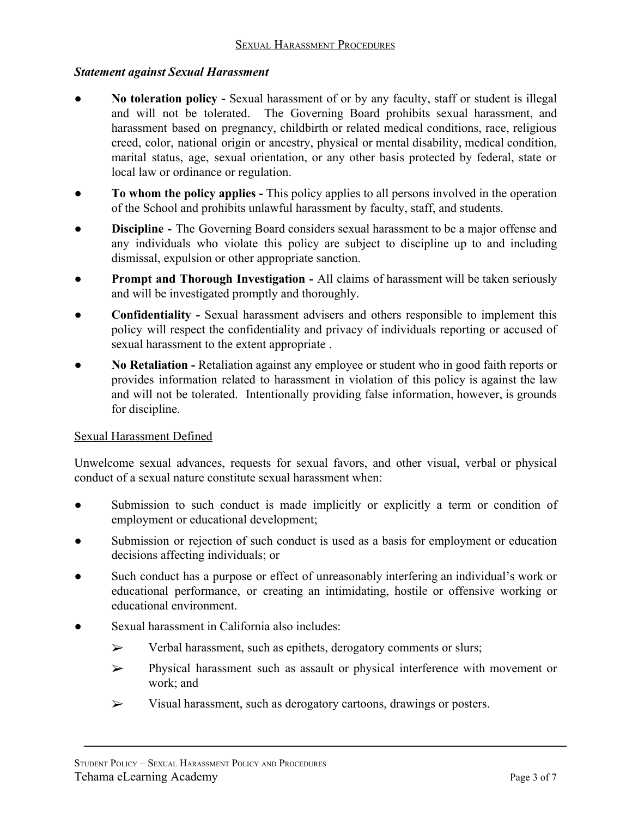# *Statement against Sexual Harassment*

- **No toleration policy -** Sexual harassment of or by any faculty, staff or student is illegal and will not be tolerated. The Governing Board prohibits sexual harassment, and harassment based on pregnancy, childbirth or related medical conditions, race, religious creed, color, national origin or ancestry, physical or mental disability, medical condition, marital status, age, sexual orientation, or any other basis protected by federal, state or local law or ordinance or regulation.
- **To whom the policy applies -** This policy applies to all persons involved in the operation of the School and prohibits unlawful harassment by faculty, staff, and students.
- **Discipline** The Governing Board considers sexual harassment to be a major offense and any individuals who violate this policy are subject to discipline up to and including dismissal, expulsion or other appropriate sanction.
- **Prompt and Thorough Investigation -** All claims of harassment will be taken seriously and will be investigated promptly and thoroughly.
- **Confidentiality** Sexual harassment advisers and others responsible to implement this policy will respect the confidentiality and privacy of individuals reporting or accused of sexual harassment to the extent appropriate .
- **No Retaliation -** Retaliation against any employee or student who in good faith reports or provides information related to harassment in violation of this policy is against the law and will not be tolerated. Intentionally providing false information, however, is grounds for discipline.

# Sexual Harassment Defined

Unwelcome sexual advances, requests for sexual favors, and other visual, verbal or physical conduct of a sexual nature constitute sexual harassment when:

- Submission to such conduct is made implicitly or explicitly a term or condition of employment or educational development;
- Submission or rejection of such conduct is used as a basis for employment or education decisions affecting individuals; or
- Such conduct has a purpose or effect of unreasonably interfering an individual's work or educational performance, or creating an intimidating, hostile or offensive working or educational environment.
- Sexual harassment in California also includes
	- ➢ Verbal harassment, such as epithets, derogatory comments or slurs;
	- ➢ Physical harassment such as assault or physical interference with movement or work; and
	- ➢ Visual harassment, such as derogatory cartoons, drawings or posters.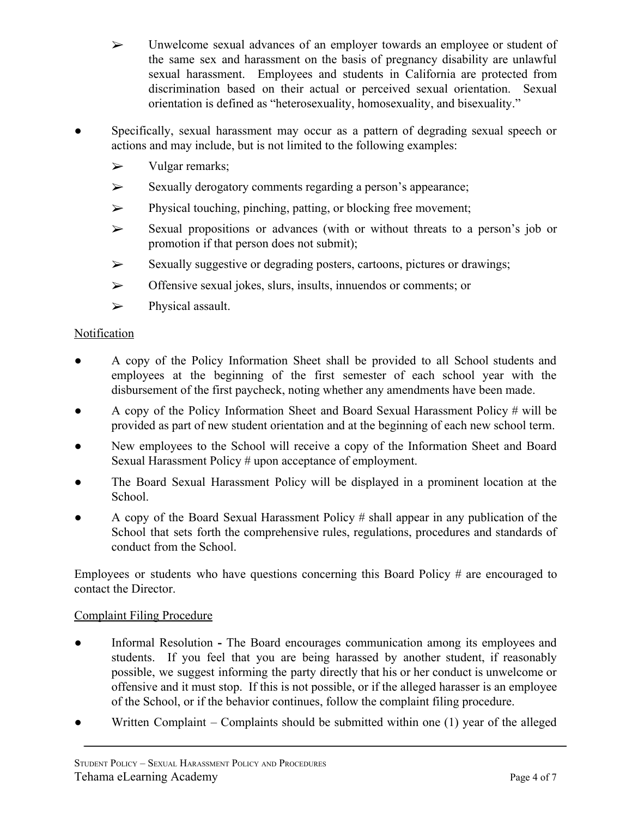- ➢ Unwelcome sexual advances of an employer towards an employee or student of the same sex and harassment on the basis of pregnancy disability are unlawful sexual harassment. Employees and students in California are protected from discrimination based on their actual or perceived sexual orientation. Sexual orientation is defined as "heterosexuality, homosexuality, and bisexuality."
- Specifically, sexual harassment may occur as a pattern of degrading sexual speech or actions and may include, but is not limited to the following examples:
	- $\triangleright$  Vulgar remarks:
	- ➢ Sexually derogatory comments regarding a person's appearance;
	- ➢ Physical touching, pinching, patting, or blocking free movement;
	- $\triangleright$  Sexual propositions or advances (with or without threats to a person's job or promotion if that person does not submit);
	- ➢ Sexually suggestive or degrading posters, cartoons, pictures or drawings;
	- ➢ Offensive sexual jokes, slurs, insults, innuendos or comments; or
	- ➢ Physical assault.

### **Notification**

- A copy of the Policy Information Sheet shall be provided to all School students and employees at the beginning of the first semester of each school year with the disbursement of the first paycheck, noting whether any amendments have been made.
- A copy of the Policy Information Sheet and Board Sexual Harassment Policy # will be provided as part of new student orientation and at the beginning of each new school term.
- New employees to the School will receive a copy of the Information Sheet and Board Sexual Harassment Policy # upon acceptance of employment.
- The Board Sexual Harassment Policy will be displayed in a prominent location at the School.
- A copy of the Board Sexual Harassment Policy # shall appear in any publication of the School that sets forth the comprehensive rules, regulations, procedures and standards of conduct from the School.

Employees or students who have questions concerning this Board Policy # are encouraged to contact the Director.

# Complaint Filing Procedure

- Informal Resolution **-** The Board encourages communication among its employees and students. If you feel that you are being harassed by another student, if reasonably possible, we suggest informing the party directly that his or her conduct is unwelcome or offensive and it must stop. If this is not possible, or if the alleged harasser is an employee of the School, or if the behavior continues, follow the complaint filing procedure.
- Written Complaint Complaints should be submitted within one  $(1)$  year of the alleged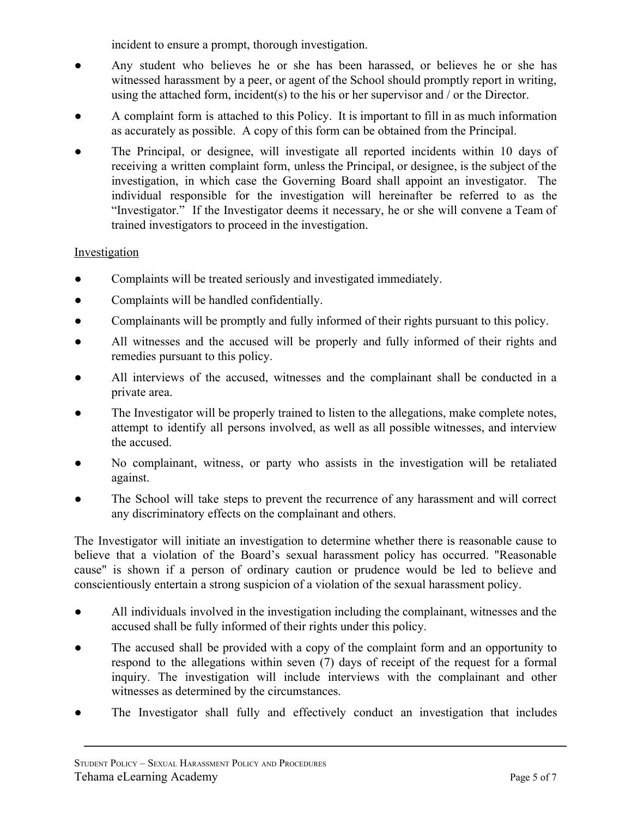incident to ensure a prompt, thorough investigation.

- Any student who believes he or she has been harassed, or believes he or she has witnessed harassment by a peer, or agent of the School should promptly report in writing, using the attached form, incident(s) to the his or her supervisor and / or the Director.
- A complaint form is attached to this Policy. It is important to fill in as much information as accurately as possible. A copy of this form can be obtained from the Principal.
- The Principal, or designee, will investigate all reported incidents within 10 days of receiving a written complaint form, unless the Principal, or designee, is the subject of the investigation, in which case the Governing Board shall appoint an investigator. The individual responsible for the investigation will hereinafter be referred to as the "Investigator." If the Investigator deems it necessary, he or she will convene a Team of trained investigators to proceed in the investigation.

# Investigation

- Complaints will be treated seriously and investigated immediately.
- Complaints will be handled confidentially.
- Complainants will be promptly and fully informed of their rights pursuant to this policy.
- All witnesses and the accused will be properly and fully informed of their rights and remedies pursuant to this policy.
- All interviews of the accused, witnesses and the complainant shall be conducted in a private area.
- The Investigator will be properly trained to listen to the allegations, make complete notes, attempt to identify all persons involved, as well as all possible witnesses, and interview the accused.
- No complainant, witness, or party who assists in the investigation will be retaliated against.
- The School will take steps to prevent the recurrence of any harassment and will correct any discriminatory effects on the complainant and others.

The Investigator will initiate an investigation to determine whether there is reasonable cause to believe that a violation of the Board's sexual harassment policy has occurred. "Reasonable cause" is shown if a person of ordinary caution or prudence would be led to believe and conscientiously entertain a strong suspicion of a violation of the sexual harassment policy.

- All individuals involved in the investigation including the complainant, witnesses and the accused shall be fully informed of their rights under this policy.
- The accused shall be provided with a copy of the complaint form and an opportunity to respond to the allegations within seven (7) days of receipt of the request for a formal inquiry. The investigation will include interviews with the complainant and other witnesses as determined by the circumstances.
- The Investigator shall fully and effectively conduct an investigation that includes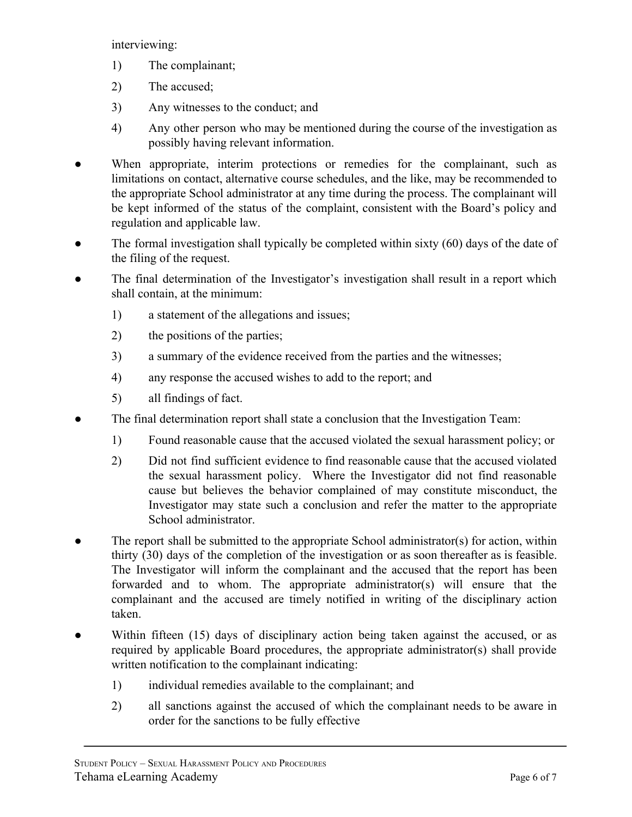interviewing:

- 1) The complainant;
- 2) The accused;
- 3) Any witnesses to the conduct; and
- 4) Any other person who may be mentioned during the course of the investigation as possibly having relevant information.
- When appropriate, interim protections or remedies for the complainant, such as limitations on contact, alternative course schedules, and the like, may be recommended to the appropriate School administrator at any time during the process. The complainant will be kept informed of the status of the complaint, consistent with the Board's policy and regulation and applicable law.
- The formal investigation shall typically be completed within sixty  $(60)$  days of the date of the filing of the request.
- The final determination of the Investigator's investigation shall result in a report which shall contain, at the minimum:
	- 1) a statement of the allegations and issues;
	- 2) the positions of the parties;
	- 3) a summary of the evidence received from the parties and the witnesses;
	- 4) any response the accused wishes to add to the report; and
	- 5) all findings of fact.
- The final determination report shall state a conclusion that the Investigation Team:
	- 1) Found reasonable cause that the accused violated the sexual harassment policy; or
	- 2) Did not find sufficient evidence to find reasonable cause that the accused violated the sexual harassment policy. Where the Investigator did not find reasonable cause but believes the behavior complained of may constitute misconduct, the Investigator may state such a conclusion and refer the matter to the appropriate School administrator.
- The report shall be submitted to the appropriate School administrator(s) for action, within thirty (30) days of the completion of the investigation or as soon thereafter as is feasible. The Investigator will inform the complainant and the accused that the report has been forwarded and to whom. The appropriate administrator(s) will ensure that the complainant and the accused are timely notified in writing of the disciplinary action taken.
- Within fifteen (15) days of disciplinary action being taken against the accused, or as required by applicable Board procedures, the appropriate administrator(s) shall provide written notification to the complainant indicating:
	- 1) individual remedies available to the complainant; and
	- 2) all sanctions against the accused of which the complainant needs to be aware in order for the sanctions to be fully effective